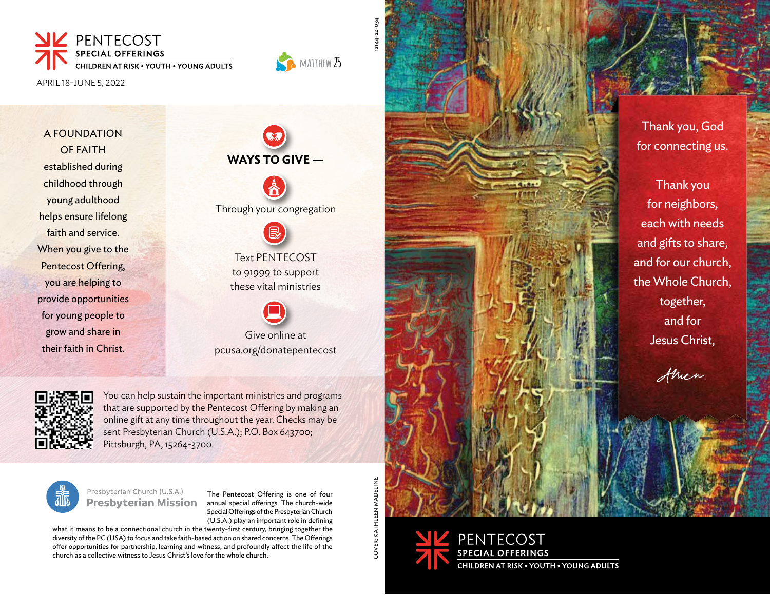

APRIL 18-JUNE 5, 2022

A FOUNDATION OF FAITH established during childhood through young adulthood helps ensure lifelong faith and service. When you give to the Pentecost Offering, you are helping to provide opportunities for young people to grow and share in their faith in Christ.

**WAYS TO GIVE —** Through your congregation Text PENTECOST to 91999 to support these vital ministries Give online at

pcusa.org/donatepentecost

You can help sustain the important ministries and programs that are supported by the Pentecost Offering by making an online gift at any time throughout the year. Checks may be sent Presbyterian Church (U.S.A.); P.O. Box 643700; Pittsburgh, PA, 15264-3700.



Presbyterian Church (U.S.A.) **Presbyterian Mission** 

The Pentecost Offering is one of four annual special offerings. The church-wide Special Offerings of the Presbyterian Church (U.S.A.) play an important role in defining

what it means to be a connectional church in the twenty-first century, bringing together the diversity of the PC (USA) to focus and take faith-based action on shared concerns. The Offerings offer opportunities for partnership, learning and witness, and profoundly affect the life of the church as a collective witness to Jesus Christ's love for the whole church.

COVER: KATHLEEN MADELINE COVER: KATHLEEN MADELINE

12144-22-034

MATTHEW 25





Thank you, God for connecting us.

Thank you for neighbors, each with needs and gifts to share, and for our church, the Whole Church, together, and for Jesus Christ,

Amen.